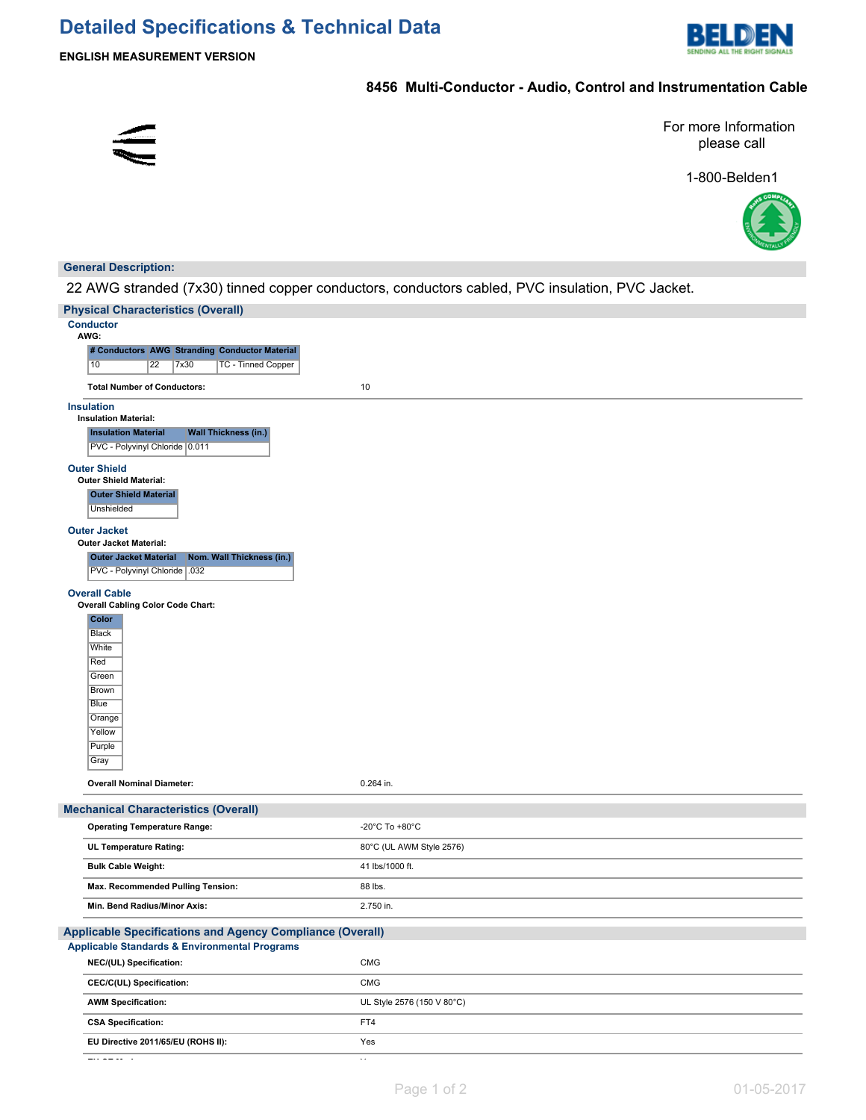

## **8456 Multi-Conductor - Audio, Control and Instrumentation Cable**



For more Information please call

1-800-Belden1



#### **General Description:**

22 AWG stranded (7x30) tinned copper conductors, conductors cabled, PVC insulation, PVC Jacket.

| <b>Physical Characteristics (Overall)</b>                                                |                            |
|------------------------------------------------------------------------------------------|----------------------------|
| <b>Conductor</b>                                                                         |                            |
| AWG:                                                                                     |                            |
| # Conductors AWG Stranding Conductor Material                                            |                            |
| <b>TC - Tinned Copper</b><br>10<br>22<br>7x30                                            |                            |
| <b>Total Number of Conductors:</b>                                                       | 10                         |
| <b>Insulation</b>                                                                        |                            |
| <b>Insulation Material:</b><br><b>Wall Thickness (in.)</b><br><b>Insulation Material</b> |                            |
| PVC - Polyvinyl Chloride 0.011                                                           |                            |
| <b>Outer Shield</b>                                                                      |                            |
| Outer Shield Material:                                                                   |                            |
| <b>Outer Shield Material</b><br><b>Unshielded</b>                                        |                            |
|                                                                                          |                            |
| <b>Outer Jacket</b><br><b>Outer Jacket Material:</b>                                     |                            |
| Nom. Wall Thickness (in.)<br><b>Outer Jacket Material</b>                                |                            |
| PVC - Polyvinyl Chloride   .032                                                          |                            |
| <b>Overall Cable</b>                                                                     |                            |
| <b>Overall Cabling Color Code Chart:</b>                                                 |                            |
| Color                                                                                    |                            |
| <b>Black</b>                                                                             |                            |
| White<br>Red                                                                             |                            |
| Green                                                                                    |                            |
| Brown                                                                                    |                            |
| <b>Blue</b>                                                                              |                            |
| Orange                                                                                   |                            |
| Yellow<br>Purple                                                                         |                            |
| Gray                                                                                     |                            |
|                                                                                          |                            |
| <b>Overall Nominal Diameter:</b>                                                         | 0.264 in.                  |
| <b>Mechanical Characteristics (Overall)</b>                                              |                            |
| <b>Operating Temperature Range:</b>                                                      | -20°C To +80°C             |
| UL Temperature Rating:                                                                   | 80°C (UL AWM Style 2576)   |
| <b>Bulk Cable Weight:</b>                                                                | 41 lbs/1000 ft.            |
| Max. Recommended Pulling Tension:                                                        | 88 lbs.                    |
| Min. Bend Radius/Minor Axis:                                                             | 2.750 in.                  |
| Applicable Specifications and Agency Compliance (Overall)                                |                            |
| Applicable Standards & Environmental Programs                                            |                            |
| NEC/(UL) Specification:                                                                  | CMG                        |
| CEC/C(UL) Specification:                                                                 | CMG                        |
| <b>AWM Specification:</b>                                                                | UL Style 2576 (150 V 80°C) |
| <b>CSA Specification:</b>                                                                | FT4                        |
| EU Directive 2011/65/EU (ROHS II):                                                       | Yes                        |

**EU CE Mark:** Yes